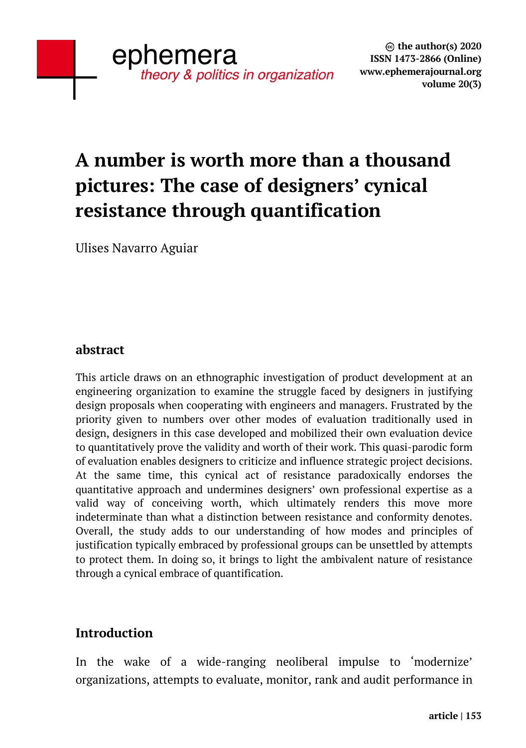# **A number is worth more than a thousand pictures: The case of designers' cynical resistance through quantification**

Ulises Navarro Aguiar

#### **abstract**

This article draws on an ethnographic investigation of product development at an engineering organization to examine the struggle faced by designers in justifying design proposals when cooperating with engineers and managers. Frustrated by the priority given to numbers over other modes of evaluation traditionally used in design, designers in this case developed and mobilized their own evaluation device to quantitatively prove the validity and worth of their work. This quasi-parodic form of evaluation enables designers to criticize and influence strategic project decisions. At the same time, this cynical act of resistance paradoxically endorses the quantitative approach and undermines designers' own professional expertise as a valid way of conceiving worth, which ultimately renders this move more indeterminate than what a distinction between resistance and conformity denotes. Overall, the study adds to our understanding of how modes and principles of justification typically embraced by professional groups can be unsettled by attempts to protect them. In doing so, it brings to light the ambivalent nature of resistance through a cynical embrace of quantification.

### **Introduction**

In the wake of a wide-ranging neoliberal impulse to 'modernize' organizations, attempts to evaluate, monitor, rank and audit performance in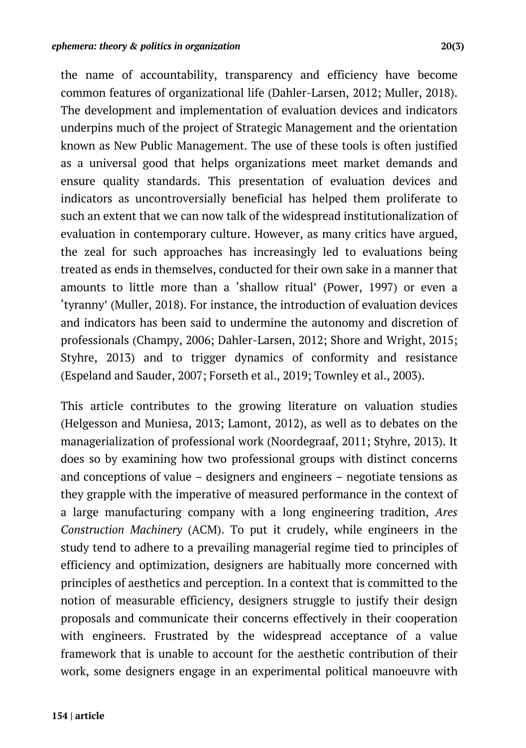the name of accountability, transparency and efficiency have become common features of organizational life (Dahler-Larsen, 2012; Muller, 2018). The development and implementation of evaluation devices and indicators underpins much of the project of Strategic Management and the orientation known as New Public Management. The use of these tools is often justified as a universal good that helps organizations meet market demands and ensure quality standards. This presentation of evaluation devices and indicators as uncontroversially beneficial has helped them proliferate to such an extent that we can now talk of the widespread institutionalization of evaluation in contemporary culture. However, as many critics have argued, the zeal for such approaches has increasingly led to evaluations being treated as ends in themselves, conducted for their own sake in a manner that amounts to little more than a 'shallow ritual' (Power, 1997) or even a 'tyranny' (Muller, 2018). For instance, the introduction of evaluation devices and indicators has been said to undermine the autonomy and discretion of professionals (Champy, 2006; Dahler-Larsen, 2012; Shore and Wright, 2015; Styhre, 2013) and to trigger dynamics of conformity and resistance (Espeland and Sauder, 2007; Forseth et al., 2019; Townley et al., 2003).

This article contributes to the growing literature on valuation studies (Helgesson and Muniesa, 2013; Lamont, 2012), as well as to debates on the managerialization of professional work (Noordegraaf, 2011; Styhre, 2013). It does so by examining how two professional groups with distinct concerns and conceptions of value – designers and engineers – negotiate tensions as they grapple with the imperative of measured performance in the context of a large manufacturing company with a long engineering tradition, *Ares Construction Machinery* (ACM). To put it crudely, while engineers in the study tend to adhere to a prevailing managerial regime tied to principles of efficiency and optimization, designers are habitually more concerned with principles of aesthetics and perception. In a context that is committed to the notion of measurable efficiency, designers struggle to justify their design proposals and communicate their concerns effectively in their cooperation with engineers. Frustrated by the widespread acceptance of a value framework that is unable to account for the aesthetic contribution of their work, some designers engage in an experimental political manoeuvre with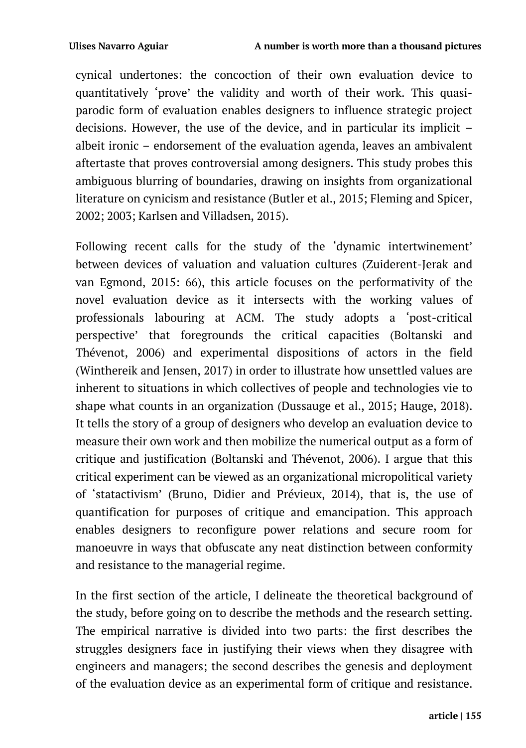cynical undertones: the concoction of their own evaluation device to quantitatively 'prove' the validity and worth of their work. This quasiparodic form of evaluation enables designers to influence strategic project decisions. However, the use of the device, and in particular its implicit – albeit ironic – endorsement of the evaluation agenda, leaves an ambivalent aftertaste that proves controversial among designers. This study probes this ambiguous blurring of boundaries, drawing on insights from organizational literature on cynicism and resistance (Butler et al., 2015; Fleming and Spicer, 2002; 2003; Karlsen and Villadsen, 2015).

Following recent calls for the study of the 'dynamic intertwinement' between devices of valuation and valuation cultures (Zuiderent-Jerak and van Egmond, 2015: 66), this article focuses on the performativity of the novel evaluation device as it intersects with the working values of professionals labouring at ACM. The study adopts a 'post-critical perspective' that foregrounds the critical capacities (Boltanski and Thévenot, 2006) and experimental dispositions of actors in the field (Winthereik and Jensen, 2017) in order to illustrate how unsettled values are inherent to situations in which collectives of people and technologies vie to shape what counts in an organization (Dussauge et al., 2015; Hauge, 2018). It tells the story of a group of designers who develop an evaluation device to measure their own work and then mobilize the numerical output as a form of critique and justification (Boltanski and Thévenot, 2006). I argue that this critical experiment can be viewed as an organizational micropolitical variety of 'statactivism' (Bruno, Didier and Prévieux, 2014), that is, the use of quantification for purposes of critique and emancipation. This approach enables designers to reconfigure power relations and secure room for manoeuvre in ways that obfuscate any neat distinction between conformity and resistance to the managerial regime.

In the first section of the article, I delineate the theoretical background of the study, before going on to describe the methods and the research setting. The empirical narrative is divided into two parts: the first describes the struggles designers face in justifying their views when they disagree with engineers and managers; the second describes the genesis and deployment of the evaluation device as an experimental form of critique and resistance.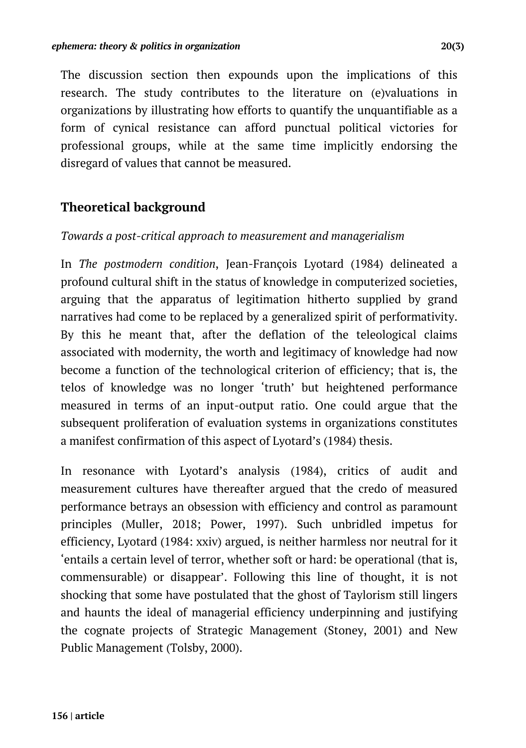The discussion section then expounds upon the implications of this research. The study contributes to the literature on (e)valuations in organizations by illustrating how efforts to quantify the unquantifiable as a form of cynical resistance can afford punctual political victories for professional groups, while at the same time implicitly endorsing the disregard of values that cannot be measured.

### **Theoretical background**

#### *Towards a post-critical approach to measurement and managerialism*

In *The postmodern condition*, Jean-François Lyotard (1984) delineated a profound cultural shift in the status of knowledge in computerized societies, arguing that the apparatus of legitimation hitherto supplied by grand narratives had come to be replaced by a generalized spirit of performativity. By this he meant that, after the deflation of the teleological claims associated with modernity, the worth and legitimacy of knowledge had now become a function of the technological criterion of efficiency; that is, the telos of knowledge was no longer 'truth' but heightened performance measured in terms of an input-output ratio. One could argue that the subsequent proliferation of evaluation systems in organizations constitutes a manifest confirmation of this aspect of Lyotard's (1984) thesis.

In resonance with Lyotard's analysis (1984), critics of audit and measurement cultures have thereafter argued that the credo of measured performance betrays an obsession with efficiency and control as paramount principles (Muller, 2018; Power, 1997). Such unbridled impetus for efficiency, Lyotard (1984: xxiv) argued, is neither harmless nor neutral for it 'entails a certain level of terror, whether soft or hard: be operational (that is, commensurable) or disappear'. Following this line of thought, it is not shocking that some have postulated that the ghost of Taylorism still lingers and haunts the ideal of managerial efficiency underpinning and justifying the cognate projects of Strategic Management (Stoney, 2001) and New Public Management (Tolsby, 2000).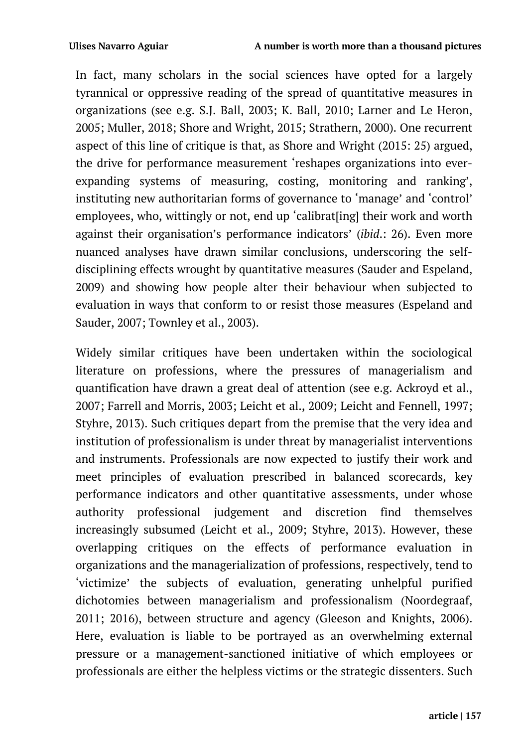In fact, many scholars in the social sciences have opted for a largely tyrannical or oppressive reading of the spread of quantitative measures in organizations (see e.g. S.J. Ball, 2003; K. Ball, 2010; Larner and Le Heron, 2005; Muller, 2018; Shore and Wright, 2015; Strathern, 2000). One recurrent aspect of this line of critique is that, as Shore and Wright (2015: 25) argued, the drive for performance measurement 'reshapes organizations into everexpanding systems of measuring, costing, monitoring and ranking', instituting new authoritarian forms of governance to 'manage' and 'control' employees, who, wittingly or not, end up 'calibrat[ing] their work and worth against their organisation's performance indicators' (*ibid*.: 26). Even more nuanced analyses have drawn similar conclusions, underscoring the selfdisciplining effects wrought by quantitative measures (Sauder and Espeland, 2009) and showing how people alter their behaviour when subjected to evaluation in ways that conform to or resist those measures (Espeland and Sauder, 2007; Townley et al., 2003).

Widely similar critiques have been undertaken within the sociological literature on professions, where the pressures of managerialism and quantification have drawn a great deal of attention (see e.g. Ackroyd et al., 2007; Farrell and Morris, 2003; Leicht et al., 2009; Leicht and Fennell, 1997; Styhre, 2013). Such critiques depart from the premise that the very idea and institution of professionalism is under threat by managerialist interventions and instruments. Professionals are now expected to justify their work and meet principles of evaluation prescribed in balanced scorecards, key performance indicators and other quantitative assessments, under whose authority professional judgement and discretion find themselves increasingly subsumed (Leicht et al., 2009; Styhre, 2013). However, these overlapping critiques on the effects of performance evaluation in organizations and the managerialization of professions, respectively, tend to 'victimize' the subjects of evaluation, generating unhelpful purified dichotomies between managerialism and professionalism (Noordegraaf, 2011; 2016), between structure and agency (Gleeson and Knights, 2006). Here, evaluation is liable to be portrayed as an overwhelming external pressure or a management-sanctioned initiative of which employees or professionals are either the helpless victims or the strategic dissenters. Such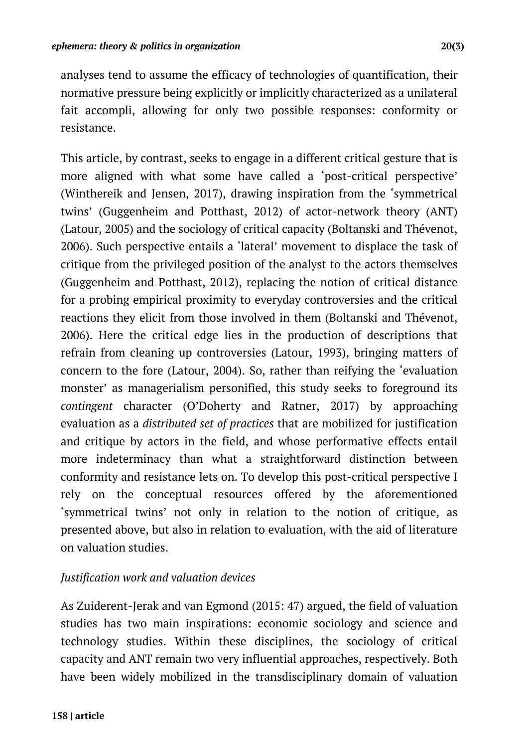analyses tend to assume the efficacy of technologies of quantification, their normative pressure being explicitly or implicitly characterized as a unilateral fait accompli, allowing for only two possible responses: conformity or resistance.

This article, by contrast, seeks to engage in a different critical gesture that is more aligned with what some have called a 'post-critical perspective' (Winthereik and Jensen, 2017), drawing inspiration from the 'symmetrical twins' (Guggenheim and Potthast, 2012) of actor-network theory (ANT) (Latour, 2005) and the sociology of critical capacity (Boltanski and Thévenot, 2006). Such perspective entails a 'lateral' movement to displace the task of critique from the privileged position of the analyst to the actors themselves (Guggenheim and Potthast, 2012), replacing the notion of critical distance for a probing empirical proximity to everyday controversies and the critical reactions they elicit from those involved in them (Boltanski and Thévenot, 2006). Here the critical edge lies in the production of descriptions that refrain from cleaning up controversies (Latour, 1993), bringing matters of concern to the fore (Latour, 2004). So, rather than reifying the 'evaluation monster' as managerialism personified, this study seeks to foreground its *contingent* character (O'Doherty and Ratner, 2017) by approaching evaluation as a *distributed set of practices* that are mobilized for justification and critique by actors in the field, and whose performative effects entail more indeterminacy than what a straightforward distinction between conformity and resistance lets on. To develop this post-critical perspective I rely on the conceptual resources offered by the aforementioned 'symmetrical twins' not only in relation to the notion of critique, as presented above, but also in relation to evaluation, with the aid of literature on valuation studies.

#### *Justification work and valuation devices*

As Zuiderent-Jerak and van Egmond (2015: 47) argued, the field of valuation studies has two main inspirations: economic sociology and science and technology studies. Within these disciplines, the sociology of critical capacity and ANT remain two very influential approaches, respectively. Both have been widely mobilized in the transdisciplinary domain of valuation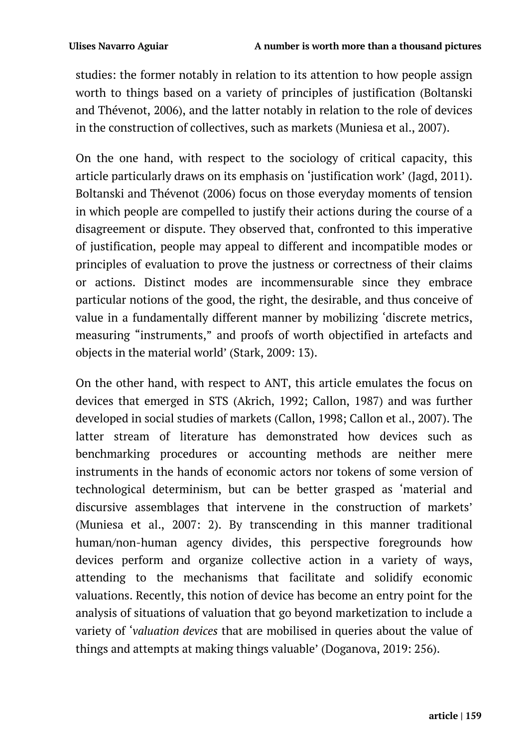studies: the former notably in relation to its attention to how people assign worth to things based on a variety of principles of justification (Boltanski and Thévenot, 2006), and the latter notably in relation to the role of devices in the construction of collectives, such as markets (Muniesa et al., 2007).

On the one hand, with respect to the sociology of critical capacity, this article particularly draws on its emphasis on 'justification work' (Jagd, 2011). Boltanski and Thévenot (2006) focus on those everyday moments of tension in which people are compelled to justify their actions during the course of a disagreement or dispute. They observed that, confronted to this imperative of justification, people may appeal to different and incompatible modes or principles of evaluation to prove the justness or correctness of their claims or actions. Distinct modes are incommensurable since they embrace particular notions of the good, the right, the desirable, and thus conceive of value in a fundamentally different manner by mobilizing 'discrete metrics, measuring "instruments," and proofs of worth objectified in artefacts and objects in the material world' (Stark, 2009: 13).

On the other hand, with respect to ANT, this article emulates the focus on devices that emerged in STS (Akrich, 1992; Callon, 1987) and was further developed in social studies of markets (Callon, 1998; Callon et al., 2007). The latter stream of literature has demonstrated how devices such as benchmarking procedures or accounting methods are neither mere instruments in the hands of economic actors nor tokens of some version of technological determinism, but can be better grasped as 'material and discursive assemblages that intervene in the construction of markets' (Muniesa et al., 2007: 2). By transcending in this manner traditional human/non-human agency divides, this perspective foregrounds how devices perform and organize collective action in a variety of ways, attending to the mechanisms that facilitate and solidify economic valuations. Recently, this notion of device has become an entry point for the analysis of situations of valuation that go beyond marketization to include a variety of '*valuation devices* that are mobilised in queries about the value of things and attempts at making things valuable' (Doganova, 2019: 256).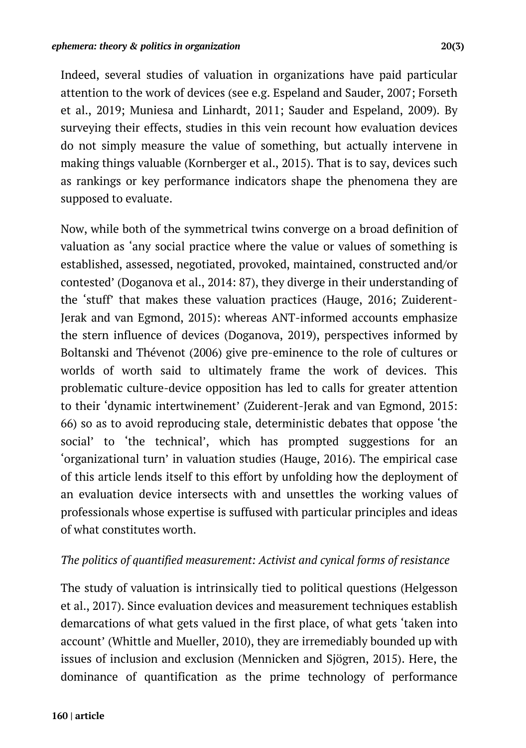Indeed, several studies of valuation in organizations have paid particular attention to the work of devices (see e.g. Espeland and Sauder, 2007; Forseth et al., 2019; Muniesa and Linhardt, 2011; Sauder and Espeland, 2009). By surveying their effects, studies in this vein recount how evaluation devices do not simply measure the value of something, but actually intervene in making things valuable (Kornberger et al., 2015). That is to say, devices such as rankings or key performance indicators shape the phenomena they are supposed to evaluate.

Now, while both of the symmetrical twins converge on a broad definition of valuation as 'any social practice where the value or values of something is established, assessed, negotiated, provoked, maintained, constructed and/or contested' (Doganova et al., 2014: 87), they diverge in their understanding of the 'stuff' that makes these valuation practices (Hauge, 2016; Zuiderent-Jerak and van Egmond, 2015): whereas ANT-informed accounts emphasize the stern influence of devices (Doganova, 2019), perspectives informed by Boltanski and Thévenot (2006) give pre-eminence to the role of cultures or worlds of worth said to ultimately frame the work of devices. This problematic culture-device opposition has led to calls for greater attention to their 'dynamic intertwinement' (Zuiderent-Jerak and van Egmond, 2015: 66) so as to avoid reproducing stale, deterministic debates that oppose 'the social' to 'the technical', which has prompted suggestions for an 'organizational turn' in valuation studies (Hauge, 2016). The empirical case of this article lends itself to this effort by unfolding how the deployment of an evaluation device intersects with and unsettles the working values of professionals whose expertise is suffused with particular principles and ideas of what constitutes worth.

#### *The politics of quantified measurement: Activist and cynical forms of resistance*

The study of valuation is intrinsically tied to political questions (Helgesson et al., 2017). Since evaluation devices and measurement techniques establish demarcations of what gets valued in the first place, of what gets 'taken into account' (Whittle and Mueller, 2010), they are irremediably bounded up with issues of inclusion and exclusion (Mennicken and Sjögren, 2015). Here, the dominance of quantification as the prime technology of performance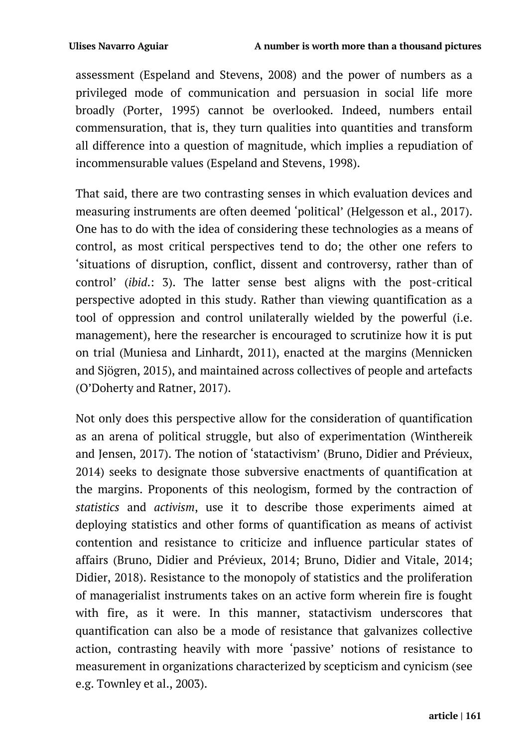assessment (Espeland and Stevens, 2008) and the power of numbers as a privileged mode of communication and persuasion in social life more broadly (Porter, 1995) cannot be overlooked. Indeed, numbers entail commensuration, that is, they turn qualities into quantities and transform all difference into a question of magnitude, which implies a repudiation of incommensurable values (Espeland and Stevens, 1998).

That said, there are two contrasting senses in which evaluation devices and measuring instruments are often deemed 'political' (Helgesson et al., 2017). One has to do with the idea of considering these technologies as a means of control, as most critical perspectives tend to do; the other one refers to 'situations of disruption, conflict, dissent and controversy, rather than of control' (*ibid*.: 3). The latter sense best aligns with the post-critical perspective adopted in this study. Rather than viewing quantification as a tool of oppression and control unilaterally wielded by the powerful (i.e. management), here the researcher is encouraged to scrutinize how it is put on trial (Muniesa and Linhardt, 2011), enacted at the margins (Mennicken and Sjögren, 2015), and maintained across collectives of people and artefacts (O'Doherty and Ratner, 2017).

Not only does this perspective allow for the consideration of quantification as an arena of political struggle, but also of experimentation (Winthereik and Jensen, 2017). The notion of 'statactivism' (Bruno, Didier and Prévieux, 2014) seeks to designate those subversive enactments of quantification at the margins. Proponents of this neologism, formed by the contraction of *statistics* and *activism*, use it to describe those experiments aimed at deploying statistics and other forms of quantification as means of activist contention and resistance to criticize and influence particular states of affairs (Bruno, Didier and Prévieux, 2014; Bruno, Didier and Vitale, 2014; Didier, 2018). Resistance to the monopoly of statistics and the proliferation of managerialist instruments takes on an active form wherein fire is fought with fire, as it were. In this manner, statactivism underscores that quantification can also be a mode of resistance that galvanizes collective action, contrasting heavily with more 'passive' notions of resistance to measurement in organizations characterized by scepticism and cynicism (see e.g. Townley et al., 2003).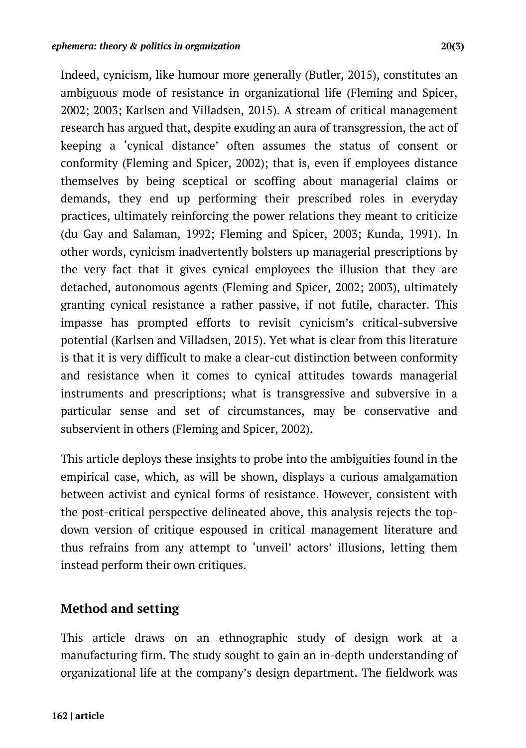Indeed, cynicism, like humour more generally (Butler, 2015), constitutes an ambiguous mode of resistance in organizational life (Fleming and Spicer, 2002; 2003; Karlsen and Villadsen, 2015). A stream of critical management research has argued that, despite exuding an aura of transgression, the act of keeping a 'cynical distance' often assumes the status of consent or conformity (Fleming and Spicer, 2002); that is, even if employees distance themselves by being sceptical or scoffing about managerial claims or demands, they end up performing their prescribed roles in everyday practices, ultimately reinforcing the power relations they meant to criticize (du Gay and Salaman, 1992; Fleming and Spicer, 2003; Kunda, 1991). In other words, cynicism inadvertently bolsters up managerial prescriptions by the very fact that it gives cynical employees the illusion that they are detached, autonomous agents (Fleming and Spicer, 2002; 2003), ultimately granting cynical resistance a rather passive, if not futile, character. This impasse has prompted efforts to revisit cynicism's critical-subversive potential (Karlsen and Villadsen, 2015). Yet what is clear from this literature is that it is very difficult to make a clear-cut distinction between conformity and resistance when it comes to cynical attitudes towards managerial instruments and prescriptions; what is transgressive and subversive in a particular sense and set of circumstances, may be conservative and subservient in others (Fleming and Spicer, 2002).

This article deploys these insights to probe into the ambiguities found in the empirical case, which, as will be shown, displays a curious amalgamation between activist and cynical forms of resistance. However, consistent with the post-critical perspective delineated above, this analysis rejects the topdown version of critique espoused in critical management literature and thus refrains from any attempt to 'unveil' actors' illusions, letting them instead perform their own critiques.

### **Method and setting**

This article draws on an ethnographic study of design work at a manufacturing firm. The study sought to gain an in-depth understanding of organizational life at the company's design department. The fieldwork was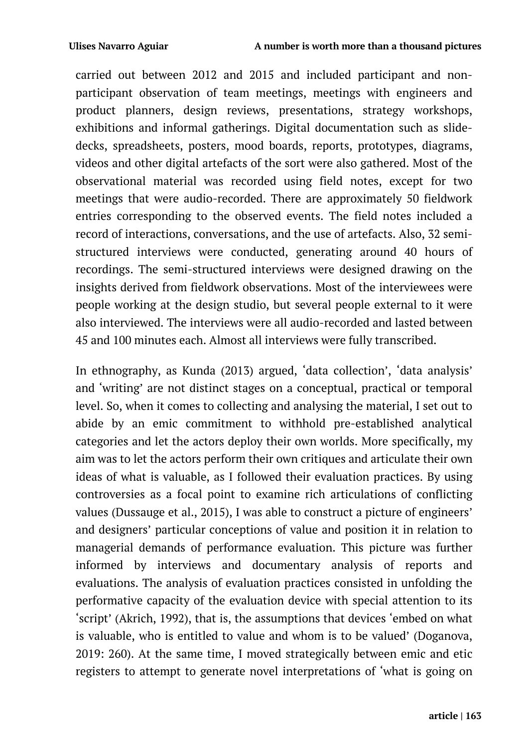carried out between 2012 and 2015 and included participant and nonparticipant observation of team meetings, meetings with engineers and product planners, design reviews, presentations, strategy workshops, exhibitions and informal gatherings. Digital documentation such as slidedecks, spreadsheets, posters, mood boards, reports, prototypes, diagrams, videos and other digital artefacts of the sort were also gathered. Most of the observational material was recorded using field notes, except for two meetings that were audio-recorded. There are approximately 50 fieldwork entries corresponding to the observed events. The field notes included a record of interactions, conversations, and the use of artefacts. Also, 32 semistructured interviews were conducted, generating around 40 hours of recordings. The semi-structured interviews were designed drawing on the insights derived from fieldwork observations. Most of the interviewees were people working at the design studio, but several people external to it were also interviewed. The interviews were all audio-recorded and lasted between 45 and 100 minutes each. Almost all interviews were fully transcribed.

In ethnography, as Kunda (2013) argued, 'data collection', 'data analysis' and 'writing' are not distinct stages on a conceptual, practical or temporal level. So, when it comes to collecting and analysing the material, I set out to abide by an emic commitment to withhold pre-established analytical categories and let the actors deploy their own worlds. More specifically, my aim was to let the actors perform their own critiques and articulate their own ideas of what is valuable, as I followed their evaluation practices. By using controversies as a focal point to examine rich articulations of conflicting values (Dussauge et al., 2015), I was able to construct a picture of engineers' and designers' particular conceptions of value and position it in relation to managerial demands of performance evaluation. This picture was further informed by interviews and documentary analysis of reports and evaluations. The analysis of evaluation practices consisted in unfolding the performative capacity of the evaluation device with special attention to its 'script' (Akrich, 1992), that is, the assumptions that devices 'embed on what is valuable, who is entitled to value and whom is to be valued' (Doganova, 2019: 260). At the same time, I moved strategically between emic and etic registers to attempt to generate novel interpretations of 'what is going on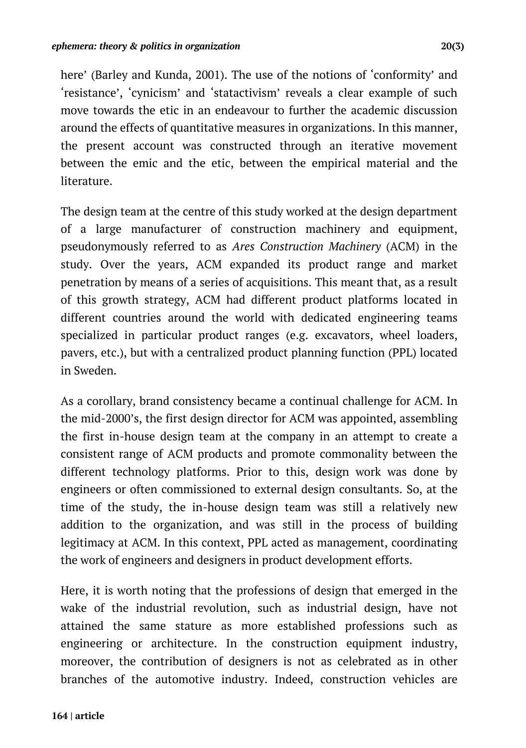here' (Barley and Kunda, 2001). The use of the notions of 'conformity' and 'resistance', 'cynicism' and 'statactivism' reveals a clear example of such move towards the etic in an endeavour to further the academic discussion around the effects of quantitative measures in organizations. In this manner, the present account was constructed through an iterative movement between the emic and the etic, between the empirical material and the literature.

The design team at the centre of this study worked at the design department of a large manufacturer of construction machinery and equipment, pseudonymously referred to as *Ares Construction Machinery* (ACM) in the study. Over the years, ACM expanded its product range and market penetration by means of a series of acquisitions. This meant that, as a result of this growth strategy, ACM had different product platforms located in different countries around the world with dedicated engineering teams specialized in particular product ranges (e.g. excavators, wheel loaders, pavers, etc.), but with a centralized product planning function (PPL) located in Sweden.

As a corollary, brand consistency became a continual challenge for ACM. In the mid-2000's, the first design director for ACM was appointed, assembling the first in-house design team at the company in an attempt to create a consistent range of ACM products and promote commonality between the different technology platforms. Prior to this, design work was done by engineers or often commissioned to external design consultants. So, at the time of the study, the in-house design team was still a relatively new addition to the organization, and was still in the process of building legitimacy at ACM. In this context, PPL acted as management, coordinating the work of engineers and designers in product development efforts.

Here, it is worth noting that the professions of design that emerged in the wake of the industrial revolution, such as industrial design, have not attained the same stature as more established professions such as engineering or architecture. In the construction equipment industry, moreover, the contribution of designers is not as celebrated as in other branches of the automotive industry. Indeed, construction vehicles are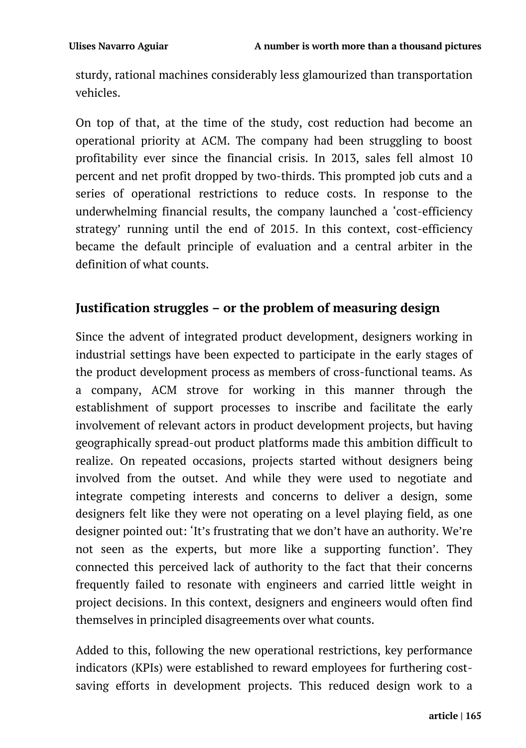sturdy, rational machines considerably less glamourized than transportation vehicles.

On top of that, at the time of the study, cost reduction had become an operational priority at ACM. The company had been struggling to boost profitability ever since the financial crisis. In 2013, sales fell almost 10 percent and net profit dropped by two-thirds. This prompted job cuts and a series of operational restrictions to reduce costs. In response to the underwhelming financial results, the company launched a 'cost-efficiency strategy' running until the end of 2015. In this context, cost-efficiency became the default principle of evaluation and a central arbiter in the definition of what counts.

## **Justification struggles – or the problem of measuring design**

Since the advent of integrated product development, designers working in industrial settings have been expected to participate in the early stages of the product development process as members of cross-functional teams. As a company, ACM strove for working in this manner through the establishment of support processes to inscribe and facilitate the early involvement of relevant actors in product development projects, but having geographically spread-out product platforms made this ambition difficult to realize. On repeated occasions, projects started without designers being involved from the outset. And while they were used to negotiate and integrate competing interests and concerns to deliver a design, some designers felt like they were not operating on a level playing field, as one designer pointed out: 'It's frustrating that we don't have an authority. We're not seen as the experts, but more like a supporting function'. They connected this perceived lack of authority to the fact that their concerns frequently failed to resonate with engineers and carried little weight in project decisions. In this context, designers and engineers would often find themselves in principled disagreements over what counts.

Added to this, following the new operational restrictions, key performance indicators (KPIs) were established to reward employees for furthering costsaving efforts in development projects. This reduced design work to a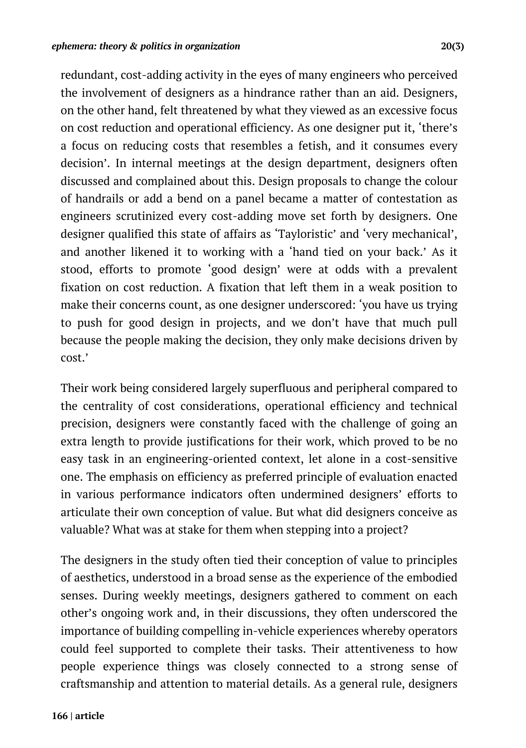redundant, cost-adding activity in the eyes of many engineers who perceived the involvement of designers as a hindrance rather than an aid. Designers, on the other hand, felt threatened by what they viewed as an excessive focus on cost reduction and operational efficiency. As one designer put it, 'there's a focus on reducing costs that resembles a fetish, and it consumes every decision'. In internal meetings at the design department, designers often discussed and complained about this. Design proposals to change the colour of handrails or add a bend on a panel became a matter of contestation as engineers scrutinized every cost-adding move set forth by designers. One designer qualified this state of affairs as 'Tayloristic' and 'very mechanical', and another likened it to working with a 'hand tied on your back.' As it stood, efforts to promote 'good design' were at odds with a prevalent fixation on cost reduction. A fixation that left them in a weak position to make their concerns count, as one designer underscored: 'you have us trying to push for good design in projects, and we don't have that much pull because the people making the decision, they only make decisions driven by cost.'

Their work being considered largely superfluous and peripheral compared to the centrality of cost considerations, operational efficiency and technical precision, designers were constantly faced with the challenge of going an extra length to provide justifications for their work, which proved to be no easy task in an engineering-oriented context, let alone in a cost-sensitive one. The emphasis on efficiency as preferred principle of evaluation enacted in various performance indicators often undermined designers' efforts to articulate their own conception of value. But what did designers conceive as valuable? What was at stake for them when stepping into a project?

The designers in the study often tied their conception of value to principles of aesthetics, understood in a broad sense as the experience of the embodied senses. During weekly meetings, designers gathered to comment on each other's ongoing work and, in their discussions, they often underscored the importance of building compelling in-vehicle experiences whereby operators could feel supported to complete their tasks. Their attentiveness to how people experience things was closely connected to a strong sense of craftsmanship and attention to material details. As a general rule, designers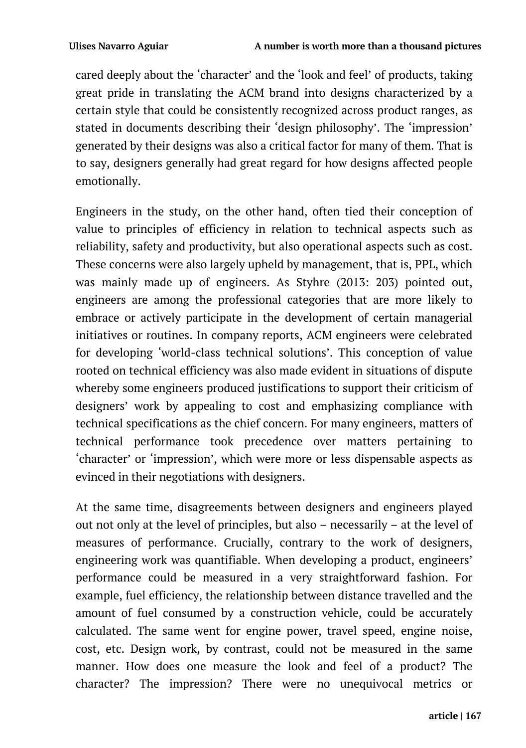cared deeply about the 'character' and the 'look and feel' of products, taking great pride in translating the ACM brand into designs characterized by a certain style that could be consistently recognized across product ranges, as stated in documents describing their 'design philosophy'. The 'impression' generated by their designs was also a critical factor for many of them. That is to say, designers generally had great regard for how designs affected people emotionally.

Engineers in the study, on the other hand, often tied their conception of value to principles of efficiency in relation to technical aspects such as reliability, safety and productivity, but also operational aspects such as cost. These concerns were also largely upheld by management, that is, PPL, which was mainly made up of engineers. As Styhre (2013: 203) pointed out, engineers are among the professional categories that are more likely to embrace or actively participate in the development of certain managerial initiatives or routines. In company reports, ACM engineers were celebrated for developing 'world-class technical solutions'. This conception of value rooted on technical efficiency was also made evident in situations of dispute whereby some engineers produced justifications to support their criticism of designers' work by appealing to cost and emphasizing compliance with technical specifications as the chief concern. For many engineers, matters of technical performance took precedence over matters pertaining to 'character' or 'impression', which were more or less dispensable aspects as evinced in their negotiations with designers.

At the same time, disagreements between designers and engineers played out not only at the level of principles, but also – necessarily – at the level of measures of performance. Crucially, contrary to the work of designers, engineering work was quantifiable. When developing a product, engineers' performance could be measured in a very straightforward fashion. For example, fuel efficiency, the relationship between distance travelled and the amount of fuel consumed by a construction vehicle, could be accurately calculated. The same went for engine power, travel speed, engine noise, cost, etc. Design work, by contrast, could not be measured in the same manner. How does one measure the look and feel of a product? The character? The impression? There were no unequivocal metrics or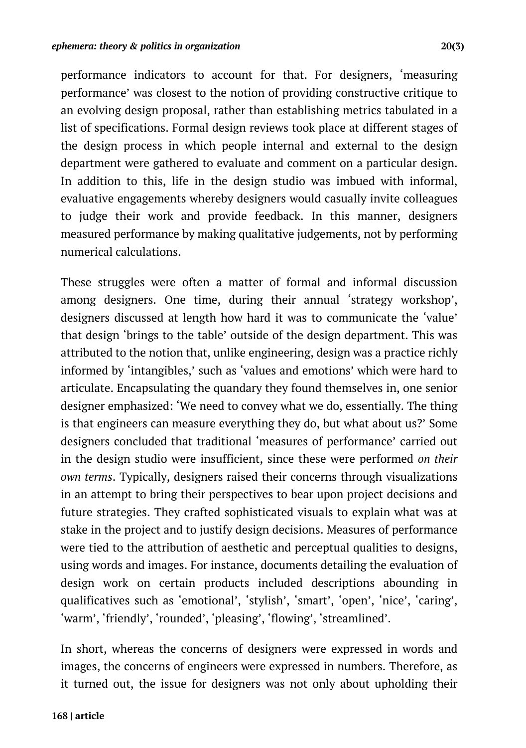performance indicators to account for that. For designers, 'measuring performance' was closest to the notion of providing constructive critique to an evolving design proposal, rather than establishing metrics tabulated in a list of specifications. Formal design reviews took place at different stages of the design process in which people internal and external to the design department were gathered to evaluate and comment on a particular design. In addition to this, life in the design studio was imbued with informal, evaluative engagements whereby designers would casually invite colleagues to judge their work and provide feedback. In this manner, designers measured performance by making qualitative judgements, not by performing numerical calculations.

These struggles were often a matter of formal and informal discussion among designers. One time, during their annual 'strategy workshop', designers discussed at length how hard it was to communicate the 'value' that design 'brings to the table' outside of the design department. This was attributed to the notion that, unlike engineering, design was a practice richly informed by 'intangibles,' such as 'values and emotions' which were hard to articulate. Encapsulating the quandary they found themselves in, one senior designer emphasized: 'We need to convey what we do, essentially. The thing is that engineers can measure everything they do, but what about us?' Some designers concluded that traditional 'measures of performance' carried out in the design studio were insufficient, since these were performed *on their own terms*. Typically, designers raised their concerns through visualizations in an attempt to bring their perspectives to bear upon project decisions and future strategies. They crafted sophisticated visuals to explain what was at stake in the project and to justify design decisions. Measures of performance were tied to the attribution of aesthetic and perceptual qualities to designs, using words and images. For instance, documents detailing the evaluation of design work on certain products included descriptions abounding in qualificatives such as 'emotional', 'stylish', 'smart', 'open', 'nice', 'caring', 'warm', 'friendly', 'rounded', 'pleasing', 'flowing', 'streamlined'.

In short, whereas the concerns of designers were expressed in words and images, the concerns of engineers were expressed in numbers. Therefore, as it turned out, the issue for designers was not only about upholding their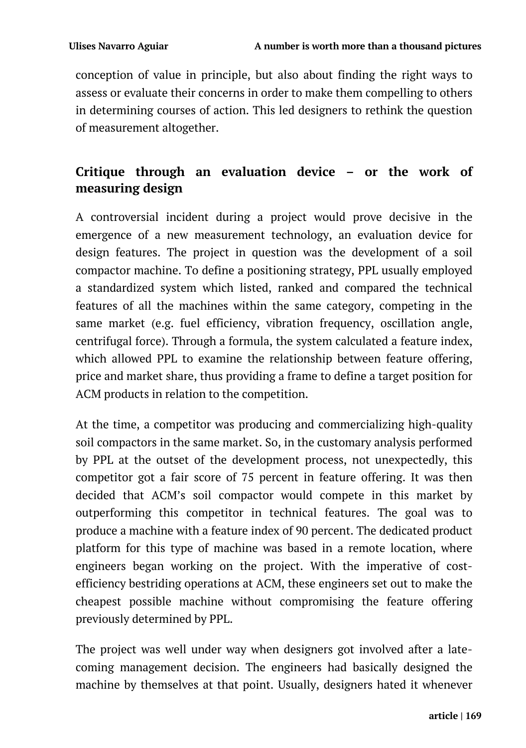conception of value in principle, but also about finding the right ways to assess or evaluate their concerns in order to make them compelling to others in determining courses of action. This led designers to rethink the question of measurement altogether.

## **Critique through an evaluation device – or the work of measuring design**

A controversial incident during a project would prove decisive in the emergence of a new measurement technology, an evaluation device for design features. The project in question was the development of a soil compactor machine. To define a positioning strategy, PPL usually employed a standardized system which listed, ranked and compared the technical features of all the machines within the same category, competing in the same market (e.g. fuel efficiency, vibration frequency, oscillation angle, centrifugal force). Through a formula, the system calculated a feature index, which allowed PPL to examine the relationship between feature offering, price and market share, thus providing a frame to define a target position for ACM products in relation to the competition.

At the time, a competitor was producing and commercializing high-quality soil compactors in the same market. So, in the customary analysis performed by PPL at the outset of the development process, not unexpectedly, this competitor got a fair score of 75 percent in feature offering. It was then decided that ACM's soil compactor would compete in this market by outperforming this competitor in technical features. The goal was to produce a machine with a feature index of 90 percent. The dedicated product platform for this type of machine was based in a remote location, where engineers began working on the project. With the imperative of costefficiency bestriding operations at ACM, these engineers set out to make the cheapest possible machine without compromising the feature offering previously determined by PPL.

The project was well under way when designers got involved after a latecoming management decision. The engineers had basically designed the machine by themselves at that point. Usually, designers hated it whenever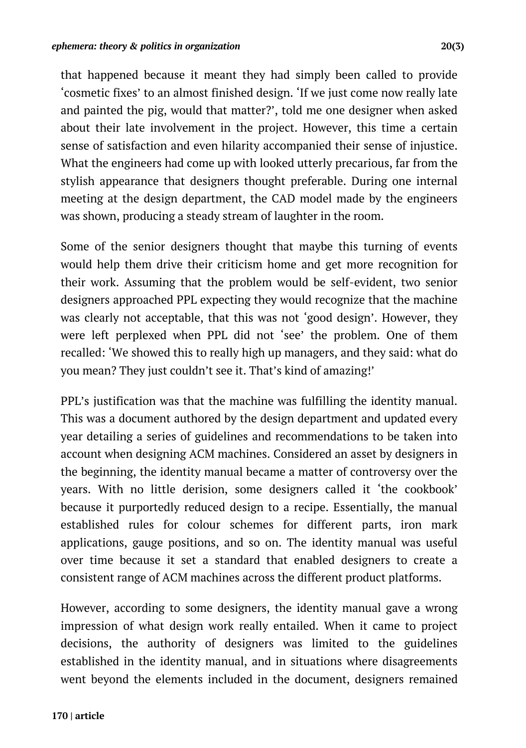that happened because it meant they had simply been called to provide 'cosmetic fixes' to an almost finished design. 'If we just come now really late and painted the pig, would that matter?', told me one designer when asked about their late involvement in the project. However, this time a certain sense of satisfaction and even hilarity accompanied their sense of injustice. What the engineers had come up with looked utterly precarious, far from the stylish appearance that designers thought preferable. During one internal meeting at the design department, the CAD model made by the engineers was shown, producing a steady stream of laughter in the room.

Some of the senior designers thought that maybe this turning of events would help them drive their criticism home and get more recognition for their work. Assuming that the problem would be self-evident, two senior designers approached PPL expecting they would recognize that the machine was clearly not acceptable, that this was not 'good design'. However, they were left perplexed when PPL did not 'see' the problem. One of them recalled: 'We showed this to really high up managers, and they said: what do you mean? They just couldn't see it. That's kind of amazing!'

PPL's justification was that the machine was fulfilling the identity manual. This was a document authored by the design department and updated every year detailing a series of guidelines and recommendations to be taken into account when designing ACM machines. Considered an asset by designers in the beginning, the identity manual became a matter of controversy over the years. With no little derision, some designers called it 'the cookbook' because it purportedly reduced design to a recipe. Essentially, the manual established rules for colour schemes for different parts, iron mark applications, gauge positions, and so on. The identity manual was useful over time because it set a standard that enabled designers to create a consistent range of ACM machines across the different product platforms.

However, according to some designers, the identity manual gave a wrong impression of what design work really entailed. When it came to project decisions, the authority of designers was limited to the guidelines established in the identity manual, and in situations where disagreements went beyond the elements included in the document, designers remained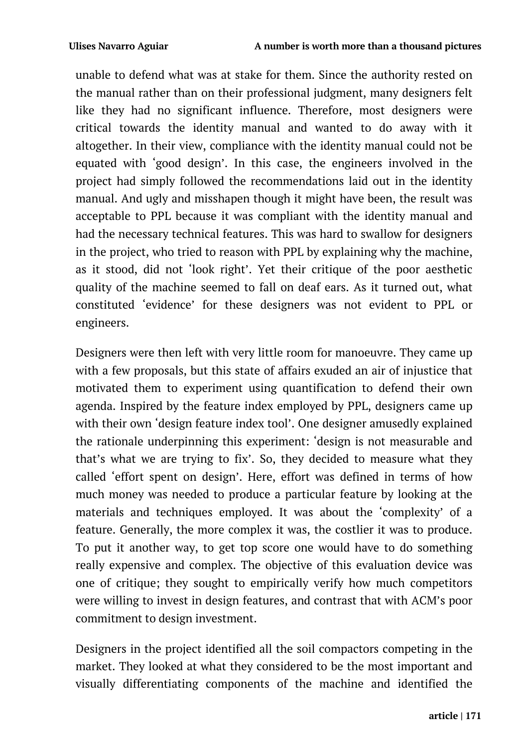unable to defend what was at stake for them. Since the authority rested on the manual rather than on their professional judgment, many designers felt like they had no significant influence. Therefore, most designers were critical towards the identity manual and wanted to do away with it altogether. In their view, compliance with the identity manual could not be equated with 'good design'. In this case, the engineers involved in the project had simply followed the recommendations laid out in the identity manual. And ugly and misshapen though it might have been, the result was acceptable to PPL because it was compliant with the identity manual and had the necessary technical features. This was hard to swallow for designers in the project, who tried to reason with PPL by explaining why the machine, as it stood, did not 'look right'. Yet their critique of the poor aesthetic quality of the machine seemed to fall on deaf ears. As it turned out, what constituted 'evidence' for these designers was not evident to PPL or engineers.

Designers were then left with very little room for manoeuvre. They came up with a few proposals, but this state of affairs exuded an air of injustice that motivated them to experiment using quantification to defend their own agenda. Inspired by the feature index employed by PPL, designers came up with their own 'design feature index tool'. One designer amusedly explained the rationale underpinning this experiment: 'design is not measurable and that's what we are trying to fix'. So, they decided to measure what they called 'effort spent on design'. Here, effort was defined in terms of how much money was needed to produce a particular feature by looking at the materials and techniques employed. It was about the 'complexity' of a feature. Generally, the more complex it was, the costlier it was to produce. To put it another way, to get top score one would have to do something really expensive and complex. The objective of this evaluation device was one of critique; they sought to empirically verify how much competitors were willing to invest in design features, and contrast that with ACM's poor commitment to design investment.

Designers in the project identified all the soil compactors competing in the market. They looked at what they considered to be the most important and visually differentiating components of the machine and identified the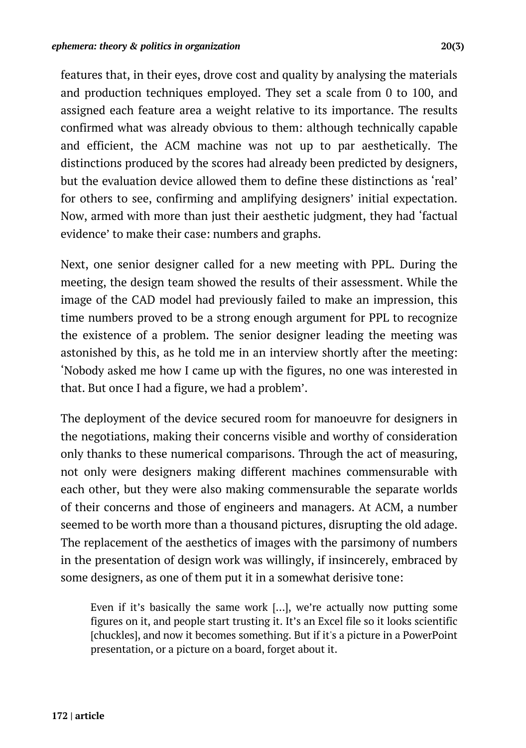features that, in their eyes, drove cost and quality by analysing the materials and production techniques employed. They set a scale from 0 to 100, and assigned each feature area a weight relative to its importance. The results confirmed what was already obvious to them: although technically capable and efficient, the ACM machine was not up to par aesthetically. The distinctions produced by the scores had already been predicted by designers, but the evaluation device allowed them to define these distinctions as 'real' for others to see, confirming and amplifying designers' initial expectation. Now, armed with more than just their aesthetic judgment, they had 'factual evidence' to make their case: numbers and graphs.

Next, one senior designer called for a new meeting with PPL. During the meeting, the design team showed the results of their assessment. While the image of the CAD model had previously failed to make an impression, this time numbers proved to be a strong enough argument for PPL to recognize the existence of a problem. The senior designer leading the meeting was astonished by this, as he told me in an interview shortly after the meeting: 'Nobody asked me how I came up with the figures, no one was interested in that. But once I had a figure, we had a problem'.

The deployment of the device secured room for manoeuvre for designers in the negotiations, making their concerns visible and worthy of consideration only thanks to these numerical comparisons. Through the act of measuring, not only were designers making different machines commensurable with each other, but they were also making commensurable the separate worlds of their concerns and those of engineers and managers. At ACM, a number seemed to be worth more than a thousand pictures, disrupting the old adage. The replacement of the aesthetics of images with the parsimony of numbers in the presentation of design work was willingly, if insincerely, embraced by some designers, as one of them put it in a somewhat derisive tone:

Even if it's basically the same work […], we're actually now putting some figures on it, and people start trusting it. It's an Excel file so it looks scientific [chuckles], and now it becomes something. But if it's a picture in a PowerPoint presentation, or a picture on a board, forget about it.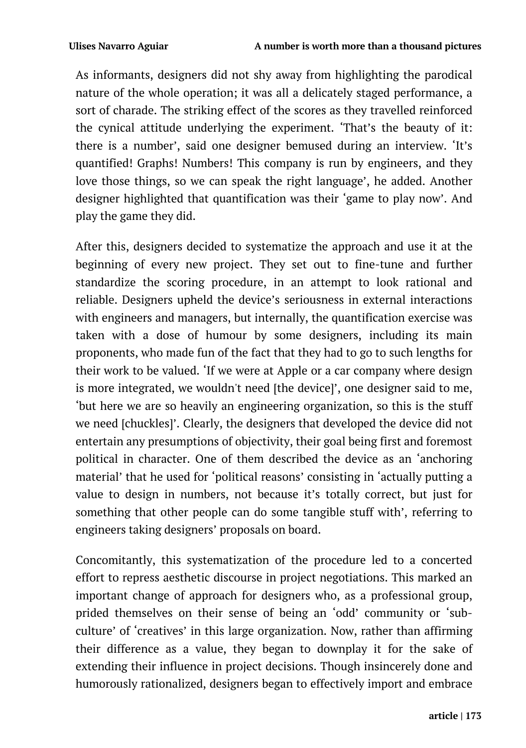As informants, designers did not shy away from highlighting the parodical nature of the whole operation; it was all a delicately staged performance, a sort of charade. The striking effect of the scores as they travelled reinforced the cynical attitude underlying the experiment. 'That's the beauty of it: there is a number', said one designer bemused during an interview. 'It's quantified! Graphs! Numbers! This company is run by engineers, and they love those things, so we can speak the right language', he added. Another designer highlighted that quantification was their 'game to play now'. And play the game they did.

After this, designers decided to systematize the approach and use it at the beginning of every new project. They set out to fine-tune and further standardize the scoring procedure, in an attempt to look rational and reliable. Designers upheld the device's seriousness in external interactions with engineers and managers, but internally, the quantification exercise was taken with a dose of humour by some designers, including its main proponents, who made fun of the fact that they had to go to such lengths for their work to be valued. 'If we were at Apple or a car company where design is more integrated, we wouldn't need [the device]', one designer said to me, 'but here we are so heavily an engineering organization, so this is the stuff we need [chuckles]'. Clearly, the designers that developed the device did not entertain any presumptions of objectivity, their goal being first and foremost political in character. One of them described the device as an 'anchoring material' that he used for 'political reasons' consisting in 'actually putting a value to design in numbers, not because it's totally correct, but just for something that other people can do some tangible stuff with', referring to engineers taking designers' proposals on board.

Concomitantly, this systematization of the procedure led to a concerted effort to repress aesthetic discourse in project negotiations. This marked an important change of approach for designers who, as a professional group, prided themselves on their sense of being an 'odd' community or 'subculture' of 'creatives' in this large organization. Now, rather than affirming their difference as a value, they began to downplay it for the sake of extending their influence in project decisions. Though insincerely done and humorously rationalized, designers began to effectively import and embrace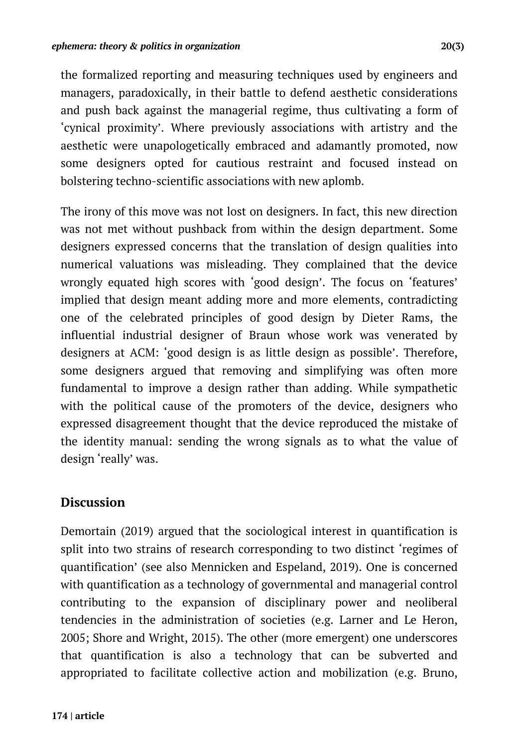the formalized reporting and measuring techniques used by engineers and managers, paradoxically, in their battle to defend aesthetic considerations and push back against the managerial regime, thus cultivating a form of 'cynical proximity'. Where previously associations with artistry and the aesthetic were unapologetically embraced and adamantly promoted, now some designers opted for cautious restraint and focused instead on bolstering techno-scientific associations with new aplomb.

The irony of this move was not lost on designers. In fact, this new direction was not met without pushback from within the design department. Some designers expressed concerns that the translation of design qualities into numerical valuations was misleading. They complained that the device wrongly equated high scores with 'good design'. The focus on 'features' implied that design meant adding more and more elements, contradicting one of the celebrated principles of good design by Dieter Rams, the influential industrial designer of Braun whose work was venerated by designers at ACM: 'good design is as little design as possible'. Therefore, some designers argued that removing and simplifying was often more fundamental to improve a design rather than adding. While sympathetic with the political cause of the promoters of the device, designers who expressed disagreement thought that the device reproduced the mistake of the identity manual: sending the wrong signals as to what the value of design 'really' was.

### **Discussion**

Demortain (2019) argued that the sociological interest in quantification is split into two strains of research corresponding to two distinct 'regimes of quantification' (see also Mennicken and Espeland, 2019). One is concerned with quantification as a technology of governmental and managerial control contributing to the expansion of disciplinary power and neoliberal tendencies in the administration of societies (e.g. Larner and Le Heron, 2005; Shore and Wright, 2015). The other (more emergent) one underscores that quantification is also a technology that can be subverted and appropriated to facilitate collective action and mobilization (e.g. Bruno,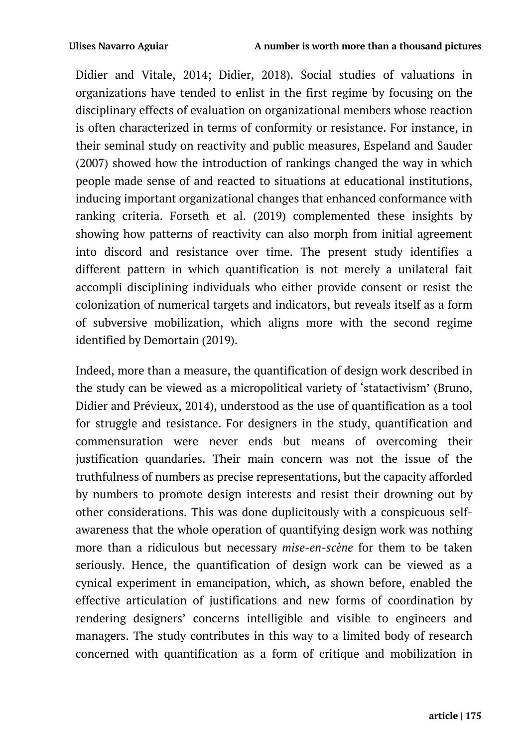Didier and Vitale, 2014; Didier, 2018). Social studies of valuations in organizations have tended to enlist in the first regime by focusing on the disciplinary effects of evaluation on organizational members whose reaction is often characterized in terms of conformity or resistance. For instance, in their seminal study on reactivity and public measures, Espeland and Sauder (2007) showed how the introduction of rankings changed the way in which people made sense of and reacted to situations at educational institutions, inducing important organizational changes that enhanced conformance with ranking criteria. Forseth et al. (2019) complemented these insights by showing how patterns of reactivity can also morph from initial agreement into discord and resistance over time. The present study identifies a different pattern in which quantification is not merely a unilateral fait accompli disciplining individuals who either provide consent or resist the colonization of numerical targets and indicators, but reveals itself as a form of subversive mobilization, which aligns more with the second regime identified by Demortain (2019).

Indeed, more than a measure, the quantification of design work described in the study can be viewed as a micropolitical variety of 'statactivism' (Bruno, Didier and Prévieux, 2014), understood as the use of quantification as a tool for struggle and resistance. For designers in the study, quantification and commensuration were never ends but means of overcoming their justification quandaries. Their main concern was not the issue of the truthfulness of numbers as precise representations, but the capacity afforded by numbers to promote design interests and resist their drowning out by other considerations. This was done duplicitously with a conspicuous selfawareness that the whole operation of quantifying design work was nothing more than a ridiculous but necessary *mise-en-scène* for them to be taken seriously. Hence, the quantification of design work can be viewed as a cynical experiment in emancipation, which, as shown before, enabled the effective articulation of justifications and new forms of coordination by rendering designers' concerns intelligible and visible to engineers and managers. The study contributes in this way to a limited body of research concerned with quantification as a form of critique and mobilization in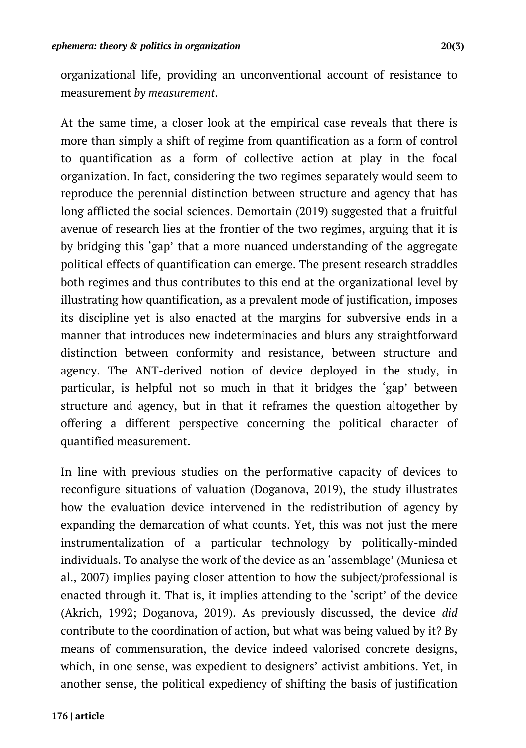organizational life, providing an unconventional account of resistance to measurement *by measurement*.

At the same time, a closer look at the empirical case reveals that there is more than simply a shift of regime from quantification as a form of control to quantification as a form of collective action at play in the focal organization. In fact, considering the two regimes separately would seem to reproduce the perennial distinction between structure and agency that has long afflicted the social sciences. Demortain (2019) suggested that a fruitful avenue of research lies at the frontier of the two regimes, arguing that it is by bridging this 'gap' that a more nuanced understanding of the aggregate political effects of quantification can emerge. The present research straddles both regimes and thus contributes to this end at the organizational level by illustrating how quantification, as a prevalent mode of justification, imposes its discipline yet is also enacted at the margins for subversive ends in a manner that introduces new indeterminacies and blurs any straightforward distinction between conformity and resistance, between structure and agency. The ANT-derived notion of device deployed in the study, in particular, is helpful not so much in that it bridges the 'gap' between structure and agency, but in that it reframes the question altogether by offering a different perspective concerning the political character of quantified measurement.

In line with previous studies on the performative capacity of devices to reconfigure situations of valuation (Doganova, 2019), the study illustrates how the evaluation device intervened in the redistribution of agency by expanding the demarcation of what counts. Yet, this was not just the mere instrumentalization of a particular technology by politically-minded individuals. To analyse the work of the device as an 'assemblage' (Muniesa et al., 2007) implies paying closer attention to how the subject/professional is enacted through it. That is, it implies attending to the 'script' of the device (Akrich, 1992; Doganova, 2019). As previously discussed, the device *did* contribute to the coordination of action, but what was being valued by it? By means of commensuration, the device indeed valorised concrete designs, which, in one sense, was expedient to designers' activist ambitions. Yet, in another sense, the political expediency of shifting the basis of justification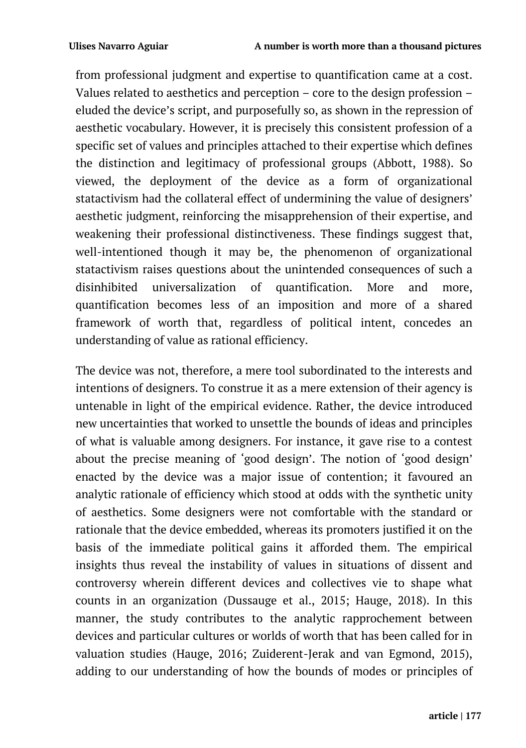from professional judgment and expertise to quantification came at a cost. Values related to aesthetics and perception – core to the design profession – eluded the device's script, and purposefully so, as shown in the repression of aesthetic vocabulary. However, it is precisely this consistent profession of a specific set of values and principles attached to their expertise which defines the distinction and legitimacy of professional groups (Abbott, 1988). So viewed, the deployment of the device as a form of organizational statactivism had the collateral effect of undermining the value of designers' aesthetic judgment, reinforcing the misapprehension of their expertise, and weakening their professional distinctiveness. These findings suggest that, well-intentioned though it may be, the phenomenon of organizational statactivism raises questions about the unintended consequences of such a disinhibited universalization of quantification. More and more, quantification becomes less of an imposition and more of a shared framework of worth that, regardless of political intent, concedes an understanding of value as rational efficiency.

The device was not, therefore, a mere tool subordinated to the interests and intentions of designers. To construe it as a mere extension of their agency is untenable in light of the empirical evidence. Rather, the device introduced new uncertainties that worked to unsettle the bounds of ideas and principles of what is valuable among designers. For instance, it gave rise to a contest about the precise meaning of 'good design'. The notion of 'good design' enacted by the device was a major issue of contention; it favoured an analytic rationale of efficiency which stood at odds with the synthetic unity of aesthetics. Some designers were not comfortable with the standard or rationale that the device embedded, whereas its promoters justified it on the basis of the immediate political gains it afforded them. The empirical insights thus reveal the instability of values in situations of dissent and controversy wherein different devices and collectives vie to shape what counts in an organization (Dussauge et al., 2015; Hauge, 2018). In this manner, the study contributes to the analytic rapprochement between devices and particular cultures or worlds of worth that has been called for in valuation studies (Hauge, 2016; Zuiderent-Jerak and van Egmond, 2015), adding to our understanding of how the bounds of modes or principles of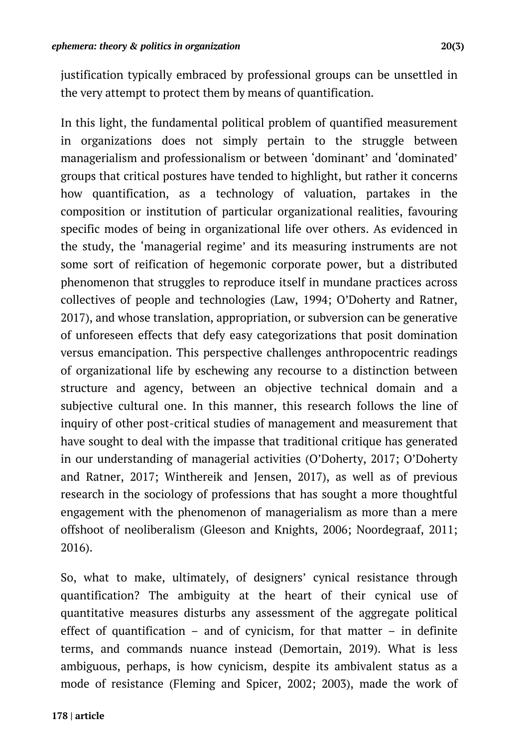justification typically embraced by professional groups can be unsettled in the very attempt to protect them by means of quantification.

In this light, the fundamental political problem of quantified measurement in organizations does not simply pertain to the struggle between managerialism and professionalism or between 'dominant' and 'dominated' groups that critical postures have tended to highlight, but rather it concerns how quantification, as a technology of valuation, partakes in the composition or institution of particular organizational realities, favouring specific modes of being in organizational life over others. As evidenced in the study, the 'managerial regime' and its measuring instruments are not some sort of reification of hegemonic corporate power, but a distributed phenomenon that struggles to reproduce itself in mundane practices across collectives of people and technologies (Law, 1994; O'Doherty and Ratner, 2017), and whose translation, appropriation, or subversion can be generative of unforeseen effects that defy easy categorizations that posit domination versus emancipation. This perspective challenges anthropocentric readings of organizational life by eschewing any recourse to a distinction between structure and agency, between an objective technical domain and a subjective cultural one. In this manner, this research follows the line of inquiry of other post-critical studies of management and measurement that have sought to deal with the impasse that traditional critique has generated in our understanding of managerial activities (O'Doherty, 2017; O'Doherty and Ratner, 2017; Winthereik and Jensen, 2017), as well as of previous research in the sociology of professions that has sought a more thoughtful engagement with the phenomenon of managerialism as more than a mere offshoot of neoliberalism (Gleeson and Knights, 2006; Noordegraaf, 2011; 2016).

So, what to make, ultimately, of designers' cynical resistance through quantification? The ambiguity at the heart of their cynical use of quantitative measures disturbs any assessment of the aggregate political effect of quantification – and of cynicism, for that matter – in definite terms, and commands nuance instead (Demortain, 2019). What is less ambiguous, perhaps, is how cynicism, despite its ambivalent status as a mode of resistance (Fleming and Spicer, 2002; 2003), made the work of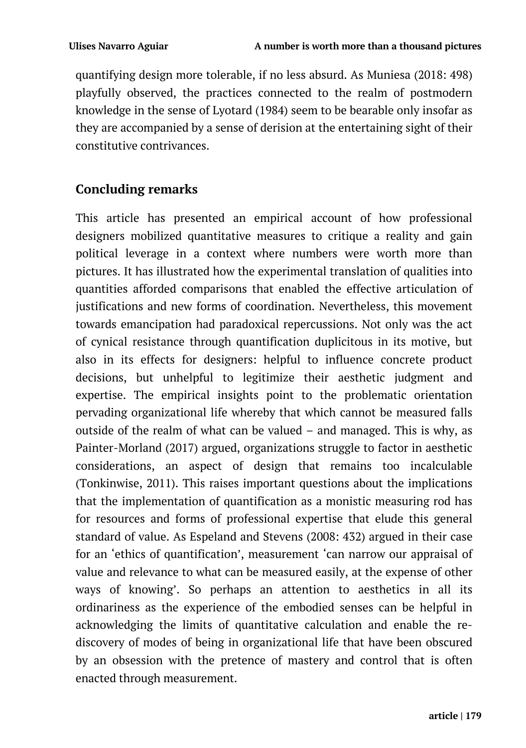quantifying design more tolerable, if no less absurd. As Muniesa (2018: 498) playfully observed, the practices connected to the realm of postmodern knowledge in the sense of Lyotard (1984) seem to be bearable only insofar as they are accompanied by a sense of derision at the entertaining sight of their constitutive contrivances.

## **Concluding remarks**

This article has presented an empirical account of how professional designers mobilized quantitative measures to critique a reality and gain political leverage in a context where numbers were worth more than pictures. It has illustrated how the experimental translation of qualities into quantities afforded comparisons that enabled the effective articulation of justifications and new forms of coordination. Nevertheless, this movement towards emancipation had paradoxical repercussions. Not only was the act of cynical resistance through quantification duplicitous in its motive, but also in its effects for designers: helpful to influence concrete product decisions, but unhelpful to legitimize their aesthetic judgment and expertise. The empirical insights point to the problematic orientation pervading organizational life whereby that which cannot be measured falls outside of the realm of what can be valued – and managed. This is why, as Painter-Morland (2017) argued, organizations struggle to factor in aesthetic considerations, an aspect of design that remains too incalculable (Tonkinwise, 2011). This raises important questions about the implications that the implementation of quantification as a monistic measuring rod has for resources and forms of professional expertise that elude this general standard of value. As Espeland and Stevens (2008: 432) argued in their case for an 'ethics of quantification', measurement 'can narrow our appraisal of value and relevance to what can be measured easily, at the expense of other ways of knowing'. So perhaps an attention to aesthetics in all its ordinariness as the experience of the embodied senses can be helpful in acknowledging the limits of quantitative calculation and enable the rediscovery of modes of being in organizational life that have been obscured by an obsession with the pretence of mastery and control that is often enacted through measurement.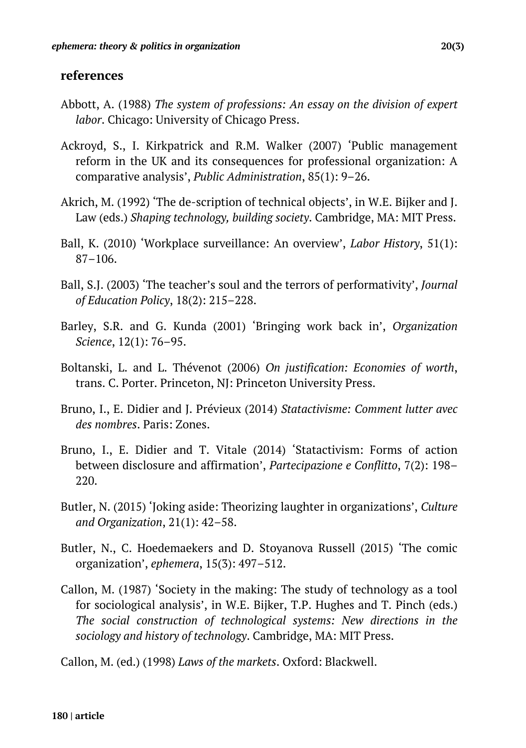#### **references**

- Abbott, A. (1988) *The system of professions: An essay on the division of expert labor*. Chicago: University of Chicago Press.
- Ackroyd, S., I. Kirkpatrick and R.M. Walker (2007) 'Public management reform in the UK and its consequences for professional organization: A comparative analysis', *Public Administration*, 85(1): 9–26.
- Akrich, M. (1992) 'The de-scription of technical objects', in W.E. Bijker and J. Law (eds.) *Shaping technology, building society*. Cambridge, MA: MIT Press.
- Ball, K. (2010) 'Workplace surveillance: An overview', *Labor History*, 51(1): 87–106.
- Ball, S.J. (2003) 'The teacher's soul and the terrors of performativity', *Journal of Education Policy*, 18(2): 215–228.
- Barley, S.R. and G. Kunda (2001) 'Bringing work back in', *Organization Science*, 12(1): 76–95.
- Boltanski, L. and L. Thévenot (2006) *On justification: Economies of worth*, trans. C. Porter. Princeton, NJ: Princeton University Press.
- Bruno, I., E. Didier and J. Prévieux (2014) *Statactivisme: Comment lutter avec des nombres*. Paris: Zones.
- Bruno, I., E. Didier and T. Vitale (2014) 'Statactivism: Forms of action between disclosure and affirmation', *Partecipazione e Conflitto*, 7(2): 198– 220.
- Butler, N. (2015) 'Joking aside: Theorizing laughter in organizations', *Culture and Organization*, 21(1): 42–58.
- Butler, N., C. Hoedemaekers and D. Stoyanova Russell (2015) 'The comic organization', *ephemera*, 15(3): 497–512.
- Callon, M. (1987) 'Society in the making: The study of technology as a tool for sociological analysis', in W.E. Bijker, T.P. Hughes and T. Pinch (eds.) *The social construction of technological systems: New directions in the sociology and history of technology*. Cambridge, MA: MIT Press.

Callon, M. (ed.) (1998) *Laws of the markets*. Oxford: Blackwell.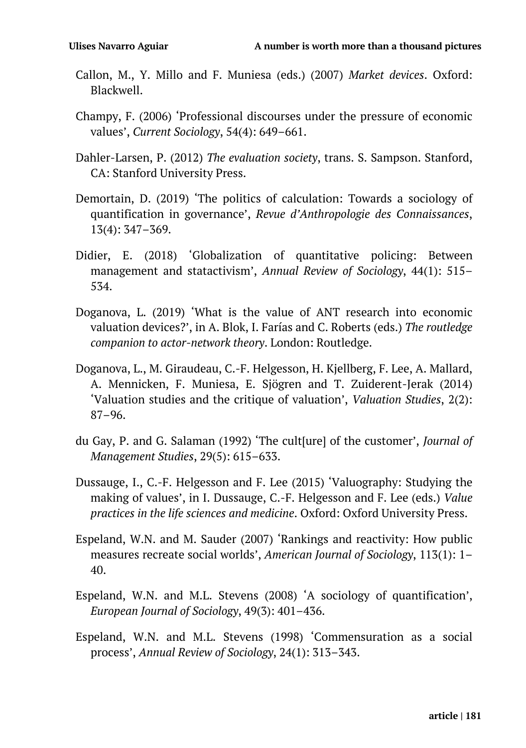- Callon, M., Y. Millo and F. Muniesa (eds.) (2007) *Market devices*. Oxford: Blackwell.
- Champy, F. (2006) 'Professional discourses under the pressure of economic values', *Current Sociology*, 54(4): 649–661.
- Dahler-Larsen, P. (2012) *The evaluation society*, trans. S. Sampson. Stanford, CA: Stanford University Press.
- Demortain, D. (2019) 'The politics of calculation: Towards a sociology of quantification in governance', *Revue d'Anthropologie des Connaissances*, 13(4): 347–369.
- Didier, E. (2018) 'Globalization of quantitative policing: Between management and statactivism', *Annual Review of Sociology*, 44(1): 515– 534.
- Doganova, L. (2019) 'What is the value of ANT research into economic valuation devices?', in A. Blok, I. Farías and C. Roberts (eds.) *The routledge companion to actor-network theory*. London: Routledge.
- Doganova, L., M. Giraudeau, C.-F. Helgesson, H. Kjellberg, F. Lee, A. Mallard, A. Mennicken, F. Muniesa, E. Sjögren and T. Zuiderent-Jerak (2014) 'Valuation studies and the critique of valuation', *Valuation Studies*, 2(2): 87–96.
- du Gay, P. and G. Salaman (1992) 'The cult[ure] of the customer', *Journal of Management Studies*, 29(5): 615–633.
- Dussauge, I., C.-F. Helgesson and F. Lee (2015) 'Valuography: Studying the making of values', in I. Dussauge, C.-F. Helgesson and F. Lee (eds.) *Value practices in the life sciences and medicine*. Oxford: Oxford University Press.
- Espeland, W.N. and M. Sauder (2007) 'Rankings and reactivity: How public measures recreate social worlds', *American Journal of Sociology*, 113(1): 1– 40.
- Espeland, W.N. and M.L. Stevens (2008) 'A sociology of quantification', *European Journal of Sociology*, 49(3): 401–436.
- Espeland, W.N. and M.L. Stevens (1998) 'Commensuration as a social process', *Annual Review of Sociology*, 24(1): 313–343.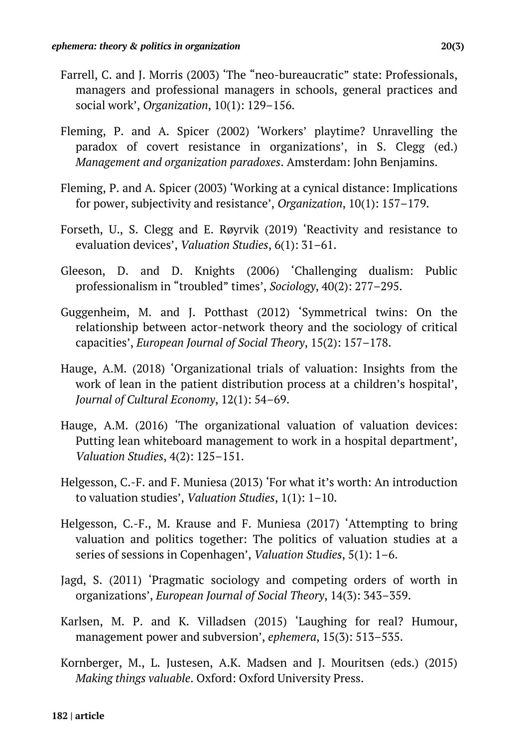- Farrell, C. and J. Morris (2003) 'The "neo-bureaucratic" state: Professionals, managers and professional managers in schools, general practices and social work', *Organization*, 10(1): 129–156.
- Fleming, P. and A. Spicer (2002) 'Workers' playtime? Unravelling the paradox of covert resistance in organizations', in S. Clegg (ed.) *Management and organization paradoxes*. Amsterdam: John Benjamins.
- Fleming, P. and A. Spicer (2003) 'Working at a cynical distance: Implications for power, subjectivity and resistance', *Organization*, 10(1): 157–179.
- Forseth, U., S. Clegg and E. Røyrvik (2019) 'Reactivity and resistance to evaluation devices', *Valuation Studies*, 6(1): 31–61.
- Gleeson, D. and D. Knights (2006) 'Challenging dualism: Public professionalism in "troubled" times', *Sociology*, 40(2): 277–295.
- Guggenheim, M. and J. Potthast (2012) 'Symmetrical twins: On the relationship between actor-network theory and the sociology of critical capacities', *European Journal of Social Theory*, 15(2): 157–178.
- Hauge, A.M. (2018) 'Organizational trials of valuation: Insights from the work of lean in the patient distribution process at a children's hospital', *Journal of Cultural Economy*, 12(1): 54–69.
- Hauge, A.M. (2016) 'The organizational valuation of valuation devices: Putting lean whiteboard management to work in a hospital department', *Valuation Studies*, 4(2): 125–151.
- Helgesson, C.-F. and F. Muniesa (2013) 'For what it's worth: An introduction to valuation studies', *Valuation Studies*, 1(1): 1–10.
- Helgesson, C.-F., M. Krause and F. Muniesa (2017) 'Attempting to bring valuation and politics together: The politics of valuation studies at a series of sessions in Copenhagen', *Valuation Studies*, 5(1): 1–6.
- Jagd, S. (2011) 'Pragmatic sociology and competing orders of worth in organizations', *European Journal of Social Theory*, 14(3): 343–359.
- Karlsen, M. P. and K. Villadsen (2015) 'Laughing for real? Humour, management power and subversion', *ephemera*, 15(3): 513–535.
- Kornberger, M., L. Justesen, A.K. Madsen and J. Mouritsen (eds.) (2015) *Making things valuable*. Oxford: Oxford University Press.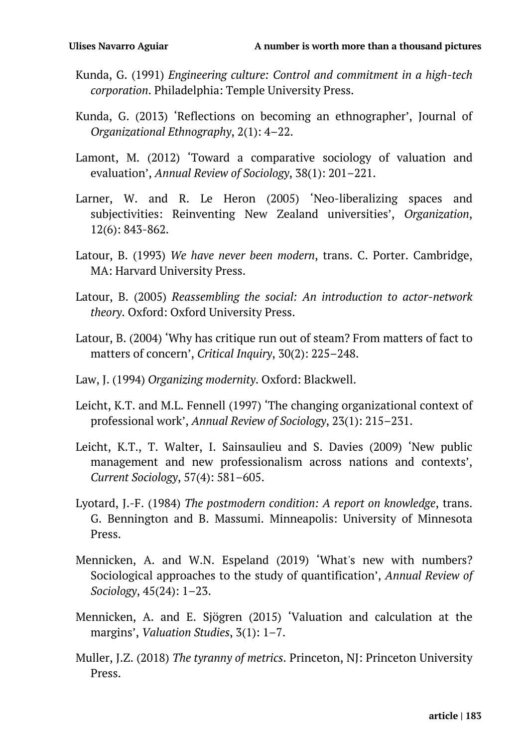- Kunda, G. (1991) *Engineering culture: Control and commitment in a high-tech corporation*. Philadelphia: Temple University Press.
- Kunda, G. (2013) 'Reflections on becoming an ethnographer', Journal of *Organizational Ethnography*, 2(1): 4–22.
- Lamont, M. (2012) 'Toward a comparative sociology of valuation and evaluation', *Annual Review of Sociology*, 38(1): 201–221.
- Larner, W. and R. Le Heron (2005) 'Neo-liberalizing spaces and subjectivities: Reinventing New Zealand universities', *Organization*, 12(6): 843-862.
- Latour, B. (1993) *We have never been modern*, trans. C. Porter. Cambridge, MA: Harvard University Press.
- Latour, B. (2005) *Reassembling the social: An introduction to actor-network theory*. Oxford: Oxford University Press.
- Latour, B. (2004) 'Why has critique run out of steam? From matters of fact to matters of concern', *Critical Inquiry*, 30(2): 225–248.
- Law, J. (1994) *Organizing modernity*. Oxford: Blackwell.
- Leicht, K.T. and M.L. Fennell (1997) 'The changing organizational context of professional work', *Annual Review of Sociology*, 23(1): 215–231.
- Leicht, K.T., T. Walter, I. Sainsaulieu and S. Davies (2009) 'New public management and new professionalism across nations and contexts', *Current Sociology*, 57(4): 581–605.
- Lyotard, J.-F. (1984) *The postmodern condition: A report on knowledge*, trans. G. Bennington and B. Massumi. Minneapolis: University of Minnesota Press.
- Mennicken, A. and W.N. Espeland (2019) 'What's new with numbers? Sociological approaches to the study of quantification', *Annual Review of Sociology*, 45(24): 1–23.
- Mennicken, A. and E. Sjögren (2015) 'Valuation and calculation at the margins', *Valuation Studies*, 3(1): 1–7.
- Muller, J.Z. (2018) *The tyranny of metrics*. Princeton, NJ: Princeton University Press.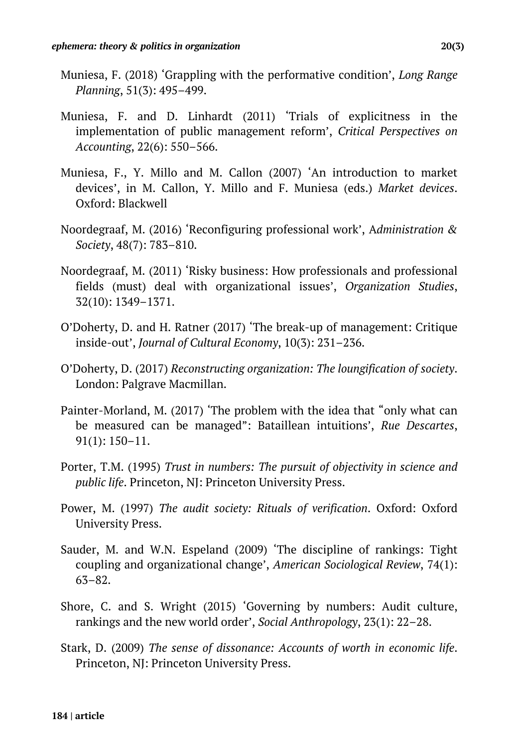- Muniesa, F. (2018) 'Grappling with the performative condition', *Long Range Planning*, 51(3): 495–499.
- Muniesa, F. and D. Linhardt (2011) 'Trials of explicitness in the implementation of public management reform', *Critical Perspectives on Accounting*, 22(6): 550–566.
- Muniesa, F., Y. Millo and M. Callon (2007) 'An introduction to market devices', in M. Callon, Y. Millo and F. Muniesa (eds.) *Market devices*. Oxford: Blackwell
- Noordegraaf, M. (2016) 'Reconfiguring professional work', A*dministration & Society*, 48(7): 783–810.
- Noordegraaf, M. (2011) 'Risky business: How professionals and professional fields (must) deal with organizational issues', *Organization Studies*, 32(10): 1349–1371.
- O'Doherty, D. and H. Ratner (2017) 'The break-up of management: Critique inside-out', *Journal of Cultural Economy*, 10(3): 231–236.
- O'Doherty, D. (2017) *Reconstructing organization: The loungification of society*. London: Palgrave Macmillan.
- Painter-Morland, M. (2017) 'The problem with the idea that "only what can be measured can be managed": Bataillean intuitions', *Rue Descartes*, 91(1): 150–11.
- Porter, T.M. (1995) *Trust in numbers: The pursuit of objectivity in science and public life*. Princeton, NJ: Princeton University Press.
- Power, M. (1997) *The audit society: Rituals of verification*. Oxford: Oxford University Press.
- Sauder, M. and W.N. Espeland (2009) 'The discipline of rankings: Tight coupling and organizational change', *American Sociological Review*, 74(1): 63–82.
- Shore, C. and S. Wright (2015) 'Governing by numbers: Audit culture, rankings and the new world order', *Social Anthropology*, 23(1): 22–28.
- Stark, D. (2009) *The sense of dissonance: Accounts of worth in economic life*. Princeton, NJ: Princeton University Press.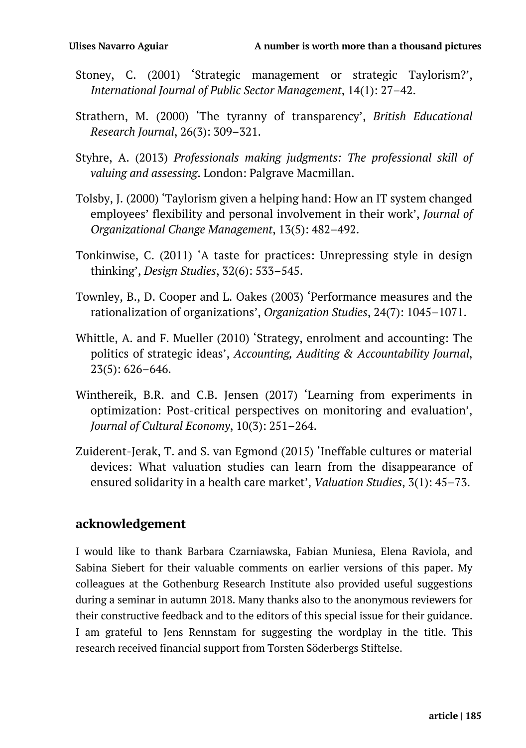- Stoney, C. (2001) 'Strategic management or strategic Taylorism?', *International Journal of Public Sector Management*, 14(1): 27–42.
- Strathern, M. (2000) 'The tyranny of transparency', *British Educational Research Journal*, 26(3): 309–321.
- Styhre, A. (2013) *Professionals making judgments: The professional skill of valuing and assessing*. London: Palgrave Macmillan.
- Tolsby, J. (2000) 'Taylorism given a helping hand: How an IT system changed employees' flexibility and personal involvement in their work', *Journal of Organizational Change Management*, 13(5): 482–492.
- Tonkinwise, C. (2011) 'A taste for practices: Unrepressing style in design thinking', *Design Studies*, 32(6): 533–545.
- Townley, B., D. Cooper and L. Oakes (2003) 'Performance measures and the rationalization of organizations', *Organization Studies*, 24(7): 1045–1071.
- Whittle, A. and F. Mueller (2010) 'Strategy, enrolment and accounting: The politics of strategic ideas', *Accounting, Auditing & Accountability Journal*, 23(5): 626–646.
- Winthereik, B.R. and C.B. Jensen (2017) 'Learning from experiments in optimization: Post-critical perspectives on monitoring and evaluation', *Journal of Cultural Economy*, 10(3): 251–264.
- Zuiderent-Jerak, T. and S. van Egmond (2015) 'Ineffable cultures or material devices: What valuation studies can learn from the disappearance of ensured solidarity in a health care market', *Valuation Studies*, 3(1): 45–73.

#### **acknowledgement**

I would like to thank Barbara Czarniawska, Fabian Muniesa, Elena Raviola, and Sabina Siebert for their valuable comments on earlier versions of this paper. My colleagues at the Gothenburg Research Institute also provided useful suggestions during a seminar in autumn 2018. Many thanks also to the anonymous reviewers for their constructive feedback and to the editors of this special issue for their guidance. I am grateful to Jens Rennstam for suggesting the wordplay in the title. This research received financial support from Torsten Söderbergs Stiftelse.